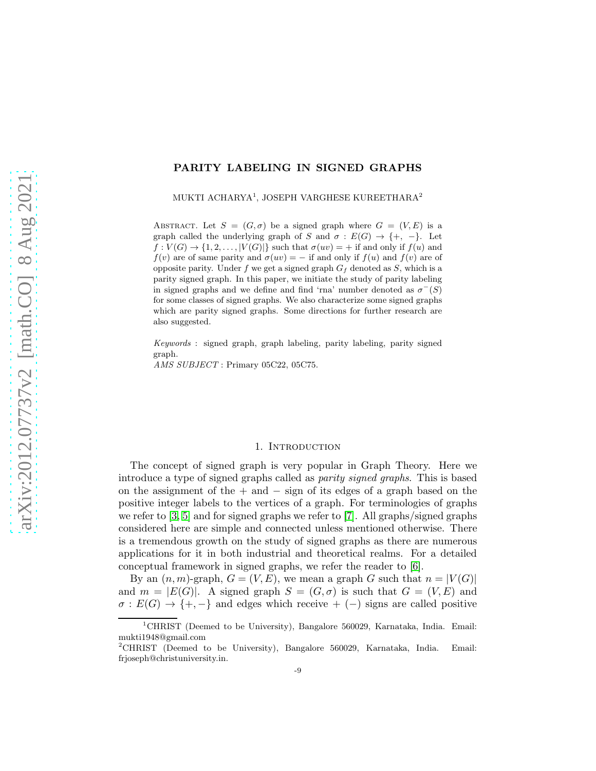# PARITY LABELING IN SIGNED GRAPHS

MUKTI ACHARYA<sup>1</sup>, JOSEPH VARGHESE KUREETHARA<sup>2</sup>

ABSTRACT. Let  $S = (G, \sigma)$  be a signed graph where  $G = (V, E)$  is a graph called the underlying graph of S and  $\sigma : E(G) \rightarrow \{+, -\}.$  Let  $f: V(G) \to \{1, 2, \ldots, |V(G)|\}$  such that  $\sigma(uv) = +$  if and only if  $f(u)$  and  $f(v)$  are of same parity and  $\sigma(uv) = -$  if and only if  $f(u)$  and  $f(v)$  are of opposite parity. Under f we get a signed graph  $G_f$  denoted as S, which is a parity signed graph. In this paper, we initiate the study of parity labeling in signed graphs and we define and find 'rna' number denoted as  $\sigma^{-}(S)$ for some classes of signed graphs. We also characterize some signed graphs which are parity signed graphs. Some directions for further research are also suggested.

Keywords : signed graph, graph labeling, parity labeling, parity signed graph.

AMS SUBJECT : Primary 05C22, 05C75.

### 1. Introduction

The concept of signed graph is very popular in Graph Theory. Here we introduce a type of signed graphs called as parity signed graphs. This is based on the assignment of the + and − sign of its edges of a graph based on the positive integer labels to the vertices of a graph. For terminologies of graphs we refer to  $[3, 5]$  $[3, 5]$  and for signed graphs we refer to  $[7]$ . All graphs/signed graphs considered here are simple and connected unless mentioned otherwise. There is a tremendous growth on the study of signed graphs as there are numerous applications for it in both industrial and theoretical realms. For a detailed conceptual framework in signed graphs, we refer the reader to [\[6\]](#page-9-3).

By an  $(n, m)$ -graph,  $G = (V, E)$ , we mean a graph G such that  $n = |V(G)|$ and  $m = |E(G)|$ . A signed graph  $S = (G, \sigma)$  is such that  $G = (V, E)$  and  $\sigma : E(G) \rightarrow \{+, -\}$  and edges which receive  $+ (-)$  signs are called positive

<sup>&</sup>lt;sup>1</sup>CHRIST (Deemed to be University), Bangalore 560029, Karnataka, India. Email: mukti1948@gmail.com

<sup>2</sup>CHRIST (Deemed to be University), Bangalore 560029, Karnataka, India. Email: frjoseph@christuniversity.in.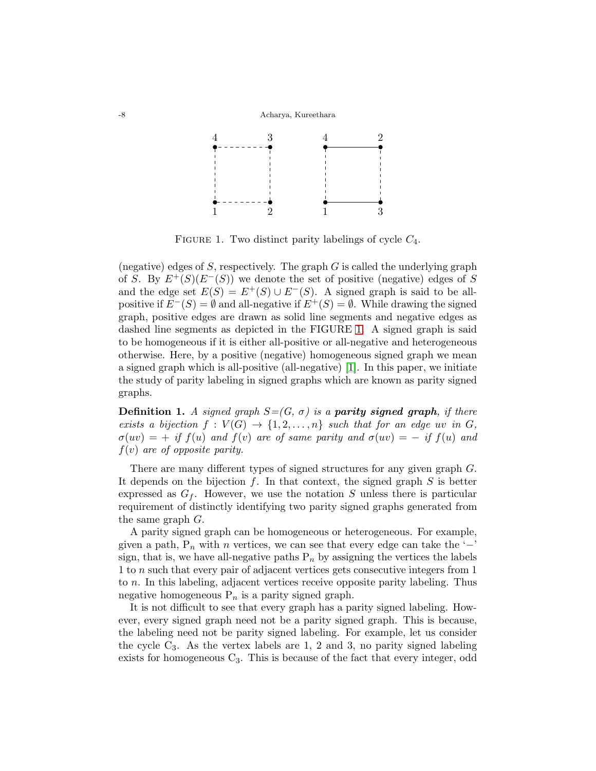

<span id="page-1-0"></span>FIGURE 1. Two distinct parity labelings of cycle  $C_4$ .

(negative) edges of S, respectively. The graph  $G$  is called the underlying graph of S. By  $E^+(S)(E^-(S))$  we denote the set of positive (negative) edges of S and the edge set  $E(S) = E^+(S) \cup E^-(S)$ . A signed graph is said to be allpositive if  $E^{-}(S) = \emptyset$  and all-negative if  $E^{+}(S) = \emptyset$ . While drawing the signed graph, positive edges are drawn as solid line segments and negative edges as dashed line segments as depicted in the FIGURE [1.](#page-1-0) A signed graph is said to be homogeneous if it is either all-positive or all-negative and heterogeneous otherwise. Here, by a positive (negative) homogeneous signed graph we mean a signed graph which is all-positive (all-negative) [\[1\]](#page-9-4). In this paper, we initiate the study of parity labeling in signed graphs which are known as parity signed graphs.

**Definition 1.** A signed graph  $S=(G, \sigma)$  is a **parity signed graph**, if there exists a bijection  $f: V(G) \to \{1, 2, ..., n\}$  such that for an edge uv in G,  $\sigma(uv) = +$  if  $f(u)$  and  $f(v)$  are of same parity and  $\sigma(uv) = -$  if  $f(u)$  and  $f(v)$  are of opposite parity.

There are many different types of signed structures for any given graph G. It depends on the bijection  $f$ . In that context, the signed graph  $S$  is better expressed as  $G_f$ . However, we use the notation S unless there is particular requirement of distinctly identifying two parity signed graphs generated from the same graph G.

A parity signed graph can be homogeneous or heterogeneous. For example, given a path,  $P_n$  with n vertices, we can see that every edge can take the ' $-$ ' sign, that is, we have all-negative paths  $P_n$  by assigning the vertices the labels 1 to n such that every pair of adjacent vertices gets consecutive integers from 1 to n. In this labeling, adjacent vertices receive opposite parity labeling. Thus negative homogeneous  $P_n$  is a parity signed graph.

It is not difficult to see that every graph has a parity signed labeling. However, every signed graph need not be a parity signed graph. This is because, the labeling need not be parity signed labeling. For example, let us consider the cycle  $C_3$ . As the vertex labels are 1, 2 and 3, no parity signed labeling exists for homogeneous  $C_3$ . This is because of the fact that every integer, odd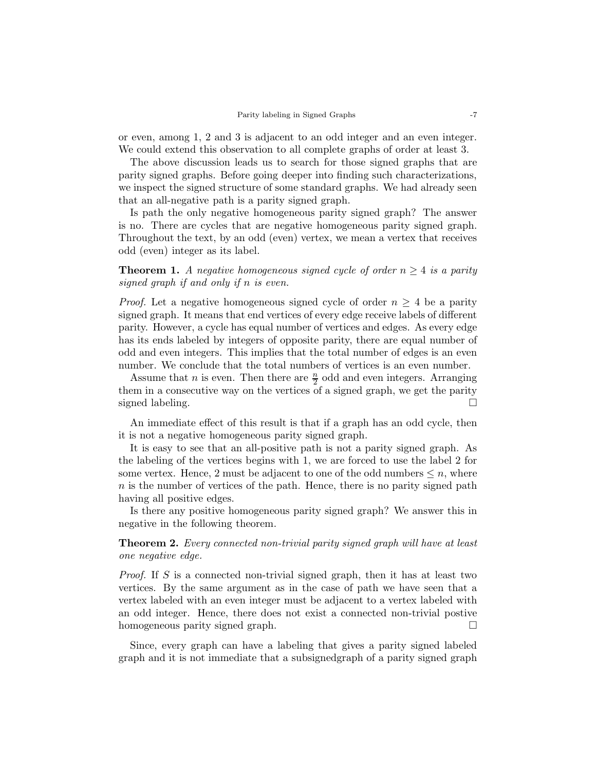or even, among 1, 2 and 3 is adjacent to an odd integer and an even integer. We could extend this observation to all complete graphs of order at least 3.

The above discussion leads us to search for those signed graphs that are parity signed graphs. Before going deeper into finding such characterizations, we inspect the signed structure of some standard graphs. We had already seen that an all-negative path is a parity signed graph.

Is path the only negative homogeneous parity signed graph? The answer is no. There are cycles that are negative homogeneous parity signed graph. Throughout the text, by an odd (even) vertex, we mean a vertex that receives odd (even) integer as its label.

<span id="page-2-0"></span>**Theorem 1.** A negative homogeneous signed cycle of order  $n \geq 4$  is a parity signed graph if and only if n is even.

*Proof.* Let a negative homogeneous signed cycle of order  $n \geq 4$  be a parity signed graph. It means that end vertices of every edge receive labels of different parity. However, a cycle has equal number of vertices and edges. As every edge has its ends labeled by integers of opposite parity, there are equal number of odd and even integers. This implies that the total number of edges is an even number. We conclude that the total numbers of vertices is an even number.

Assume that *n* is even. Then there are  $\frac{n}{2}$  odd and even integers. Arranging them in a consecutive way on the vertices of a signed graph, we get the parity signed labeling.  $\Box$ 

An immediate effect of this result is that if a graph has an odd cycle, then it is not a negative homogeneous parity signed graph.

It is easy to see that an all-positive path is not a parity signed graph. As the labeling of the vertices begins with 1, we are forced to use the label 2 for some vertex. Hence, 2 must be adjacent to one of the odd numbers  $\leq n$ , where  $n$  is the number of vertices of the path. Hence, there is no parity signed path having all positive edges.

Is there any positive homogeneous parity signed graph? We answer this in negative in the following theorem.

<span id="page-2-1"></span>**Theorem 2.** Every connected non-trivial parity signed graph will have at least one negative edge.

Proof. If S is a connected non-trivial signed graph, then it has at least two vertices. By the same argument as in the case of path we have seen that a vertex labeled with an even integer must be adjacent to a vertex labeled with an odd integer. Hence, there does not exist a connected non-trivial postive homogeneous parity signed graph.

Since, every graph can have a labeling that gives a parity signed labeled graph and it is not immediate that a subsignedgraph of a parity signed graph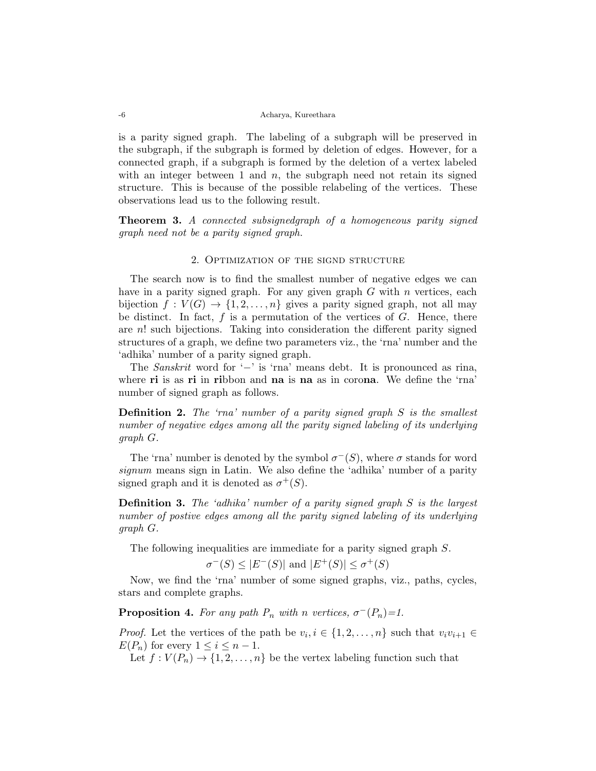is a parity signed graph. The labeling of a subgraph will be preserved in the subgraph, if the subgraph is formed by deletion of edges. However, for a connected graph, if a subgraph is formed by the deletion of a vertex labeled with an integer between 1 and  $n$ , the subgraph need not retain its signed structure. This is because of the possible relabeling of the vertices. These observations lead us to the following result.

**Theorem 3.** A connected subsignedgraph of a homogeneous parity signed graph need not be a parity signed graph.

## 2. Optimization of the signd structure

The search now is to find the smallest number of negative edges we can have in a parity signed graph. For any given graph  $G$  with  $n$  vertices, each bijection  $f: V(G) \to \{1, 2, ..., n\}$  gives a parity signed graph, not all may be distinct. In fact,  $f$  is a permutation of the vertices of  $G$ . Hence, there are  $n!$  such bijections. Taking into consideration the different parity signed structures of a graph, we define two parameters viz., the 'rna' number and the 'adhika' number of a parity signed graph.

The Sanskrit word for '−' is 'rna' means debt. It is pronounced as rina, where **ri** is as **ri** in **ri**bbon and **na** is **na** as in corona. We define the 'rna' number of signed graph as follows.

**Definition 2.** The 'rna' number of a parity signed graph  $S$  is the smallest number of negative edges among all the parity signed labeling of its underlying graph G.

The 'rna' number is denoted by the symbol  $\sigma^{-}(S)$ , where  $\sigma$  stands for word signum means sign in Latin. We also define the 'adhika' number of a parity signed graph and it is denoted as  $\sigma^+(S)$ .

Definition 3. The 'adhika' number of a parity signed graph S is the largest number of postive edges among all the parity signed labeling of its underlying graph G.

The following inequalities are immediate for a parity signed graph S.

$$
\sigma^{-}(S) \le |E^{-}(S)| \text{ and } |E^{+}(S)| \le \sigma^{+}(S)
$$

Now, we find the 'rna' number of some signed graphs, viz., paths, cycles, stars and complete graphs.

**Proposition 4.** For any path  $P_n$  with n vertices,  $\sigma^{-}(P_n) = 1$ .

*Proof.* Let the vertices of the path be  $v_i, i \in \{1, 2, ..., n\}$  such that  $v_i v_{i+1} \in$  $E(P_n)$  for every  $1 \leq i \leq n-1$ .

Let  $f: V(P_n) \to \{1, 2, ..., n\}$  be the vertex labeling function such that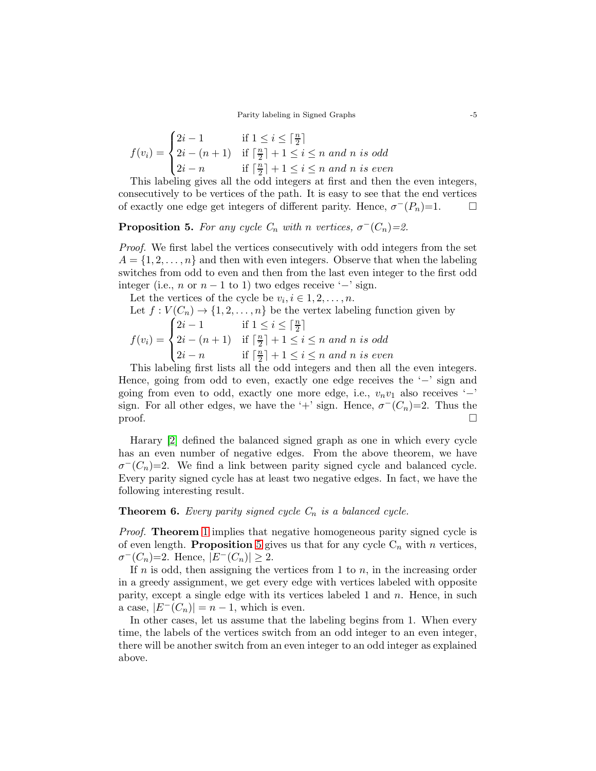$$
f(v_i) = \begin{cases} 2i - 1 & \text{if } 1 \le i \le \lceil \frac{n}{2} \rceil \\ 2i - (n+1) & \text{if } \lceil \frac{n}{2} \rceil + 1 \le i \le n \text{ and } n \text{ is odd} \\ 2i - n & \text{if } \lceil \frac{n}{2} \rceil + 1 \le i \le n \text{ and } n \text{ is even} \end{cases}
$$

This labeling gives all the odd integers at first and then the even integers, consecutively to be vertices of the path. It is easy to see that the end vertices of exactly one edge get integers of different parity. Hence,  $\sigma^{-}(P_n)=1$ .  $\Box$ 

<span id="page-4-0"></span>**Proposition 5.** For any cycle  $C_n$  with n vertices,  $\sigma^{-}(C_n) = 2$ .

Proof. We first label the vertices consecutively with odd integers from the set  $A = \{1, 2, \ldots, n\}$  and then with even integers. Observe that when the labeling switches from odd to even and then from the last even integer to the first odd integer (i.e., *n* or  $n - 1$  to 1) two edges receive ' $-$ ' sign.

Let the vertices of the cycle be  $v_i, i \in 1, 2, \ldots, n$ . Let  $f: V(C_n) \to \{1, 2, ..., n\}$  be the vertex labeling function given by  $f(v_i) =$  $\sqrt{ }$  $\int$  $\overline{\mathcal{L}}$  $2i-1$  if  $1 \leq i \leq \lceil \frac{n}{2} \rceil$  $2i - (n+1)$  if  $\lceil \frac{n}{2} \rceil$  $\lfloor \frac{n}{2} \rfloor + 1 \leq i \leq n$  and n is odd  $2i - n$  if  $\lceil \frac{n}{2} \rceil$  $\lfloor \frac{n}{2} \rfloor + 1 \leq i \leq n$  and n is even

This labeling first lists all the odd integers and then all the even integers. Hence, going from odd to even, exactly one edge receives the '−' sign and going from even to odd, exactly one more edge, i.e.,  $v_n v_1$  also receives '−' sign. For all other edges, we have the '+' sign. Hence,  $\sigma^{-}(C_n)=2$ . Thus the  $\Box$ 

Harary [\[2\]](#page-9-5) defined the balanced signed graph as one in which every cycle has an even number of negative edges. From the above theorem, we have  $\sigma^{-}(C_n)=2$ . We find a link between parity signed cycle and balanced cycle. Every parity signed cycle has at least two negative edges. In fact, we have the following interesting result.

**Theorem 6.** Every parity signed cycle  $C_n$  is a balanced cycle.

*Proof.* Theorem [1](#page-2-0) implies that negative homogeneous parity signed cycle is of even length. **Proposition** [5](#page-4-0) gives us that for any cycle  $C_n$  with n vertices,  $\sigma^{-}(C_n)=2.$  Hence,  $|E^{-}(C_n)|\geq 2.$ 

If  $n$  is odd, then assigning the vertices from 1 to  $n$ , in the increasing order in a greedy assignment, we get every edge with vertices labeled with opposite parity, except a single edge with its vertices labeled 1 and  $n$ . Hence, in such a case,  $|E^{-}(C_n)| = n-1$ , which is even.

In other cases, let us assume that the labeling begins from 1. When every time, the labels of the vertices switch from an odd integer to an even integer, there will be another switch from an even integer to an odd integer as explained above.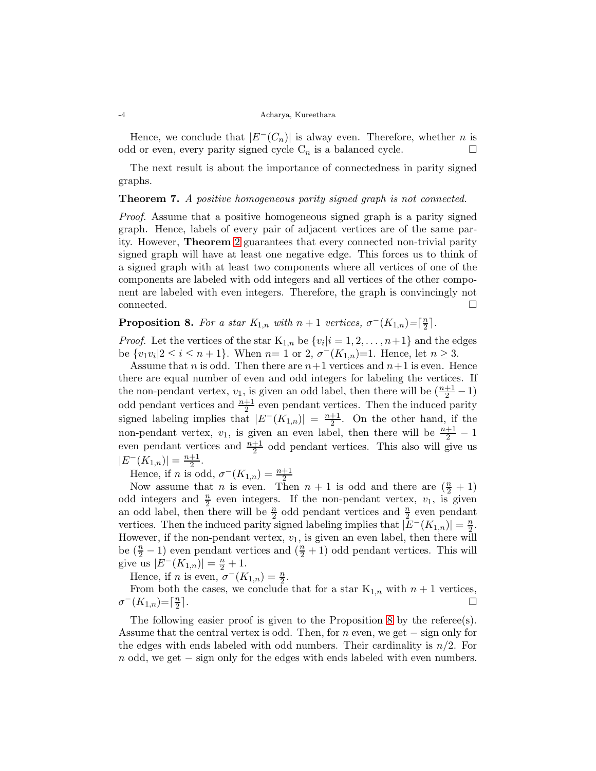Hence, we conclude that  $|E^{-}(C_n)|$  is alway even. Therefore, whether *n* is odd or even, every parity signed cycle  $C_n$  is a balanced cycle.

The next result is about the importance of connectedness in parity signed graphs.

# Theorem 7. A positive homogeneous parity signed graph is not connected.

Proof. Assume that a positive homogeneous signed graph is a parity signed graph. Hence, labels of every pair of adjacent vertices are of the same parity. However, Theorem [2](#page-2-1) guarantees that every connected non-trivial parity signed graph will have at least one negative edge. This forces us to think of a signed graph with at least two components where all vertices of one of the components are labeled with odd integers and all vertices of the other component are labeled with even integers. Therefore, the graph is convincingly not  $\Box$ connected.  $\Box$ 

<span id="page-5-0"></span>**Proposition 8.** For a star  $K_{1,n}$  with  $n+1$  vertices,  $\sigma^{-}(K_{1,n}) = \lceil \frac{n}{2} \rceil$  $\frac{n}{2}$ .

*Proof.* Let the vertices of the star  $K_{1,n}$  be  $\{v_i|i=1,2,\ldots,n+1\}$  and the edges be  $\{v_1v_i|2 \le i \le n+1\}$ . When  $n=1$  or  $2, \sigma^{-1}(K_{1,n})=1$ . Hence, let  $n \ge 3$ .

Assume that n is odd. Then there are  $n+1$  vertices and  $n+1$  is even. Hence there are equal number of even and odd integers for labeling the vertices. If the non-pendant vertex,  $v_1$ , is given an odd label, then there will be  $(\frac{n+1}{2} - 1)$ odd pendant vertices and  $\frac{n+1}{2}$  even pendant vertices. Then the induced parity signed labeling implies that  $|E^{-}(K_{1,n})| = \frac{n+1}{2}$  $\frac{+1}{2}$ . On the other hand, if the non-pendant vertex,  $v_1$ , is given an even label, then there will be  $\frac{n+1}{2} - 1$ even pendant vertices and  $\frac{n+1}{2}$  odd pendant vertices. This also will give us  $|E^{-}(K_{1,n})| = \frac{n+1}{2}$  $\frac{+1}{2}$ .

Hence, if *n* is odd,  $\sigma^{-}(K_{1,n}) = \frac{n+1}{2}$ 

Now assume that *n* is even. Then  $n + 1$  is odd and there are  $(\frac{n}{2} + 1)$ odd integers and  $\frac{n}{2}$  even integers. If the non-pendant vertex,  $v_1$ , is given an odd label, then there will be  $\frac{n}{2}$  odd pendant vertices and  $\frac{n}{2}$  even pendant vertices. Then the induced parity signed labeling implies that  $|\mathbb{E}^{-}(K_{1,n})| = \frac{n}{2}$ . However, if the non-pendant vertex,  $v_1$ , is given an even label, then there will be  $(\frac{n}{2} - 1)$  even pendant vertices and  $(\frac{n}{2} + 1)$  odd pendant vertices. This will give us  $|E^{-}(K_{1,n})| = \frac{n}{2} + 1$ .

Hence, if *n* is even,  $\sigma^{-}(K_{1,n}) = \frac{n}{2}$ .

From both the cases, we conclude that for a star  $K_{1,n}$  with  $n+1$  vertices,  $\sigma^{-}(K_{1,n}) = \lceil \frac{n}{2} \rceil$ 2  $\Box$ 

The following easier proof is given to the Proposition [8](#page-5-0) by the referee(s). Assume that the central vertex is odd. Then, for n even, we get  $-$  sign only for the edges with ends labeled with odd numbers. Their cardinality is  $n/2$ . For  $n$  odd, we get  $-$  sign only for the edges with ends labeled with even numbers.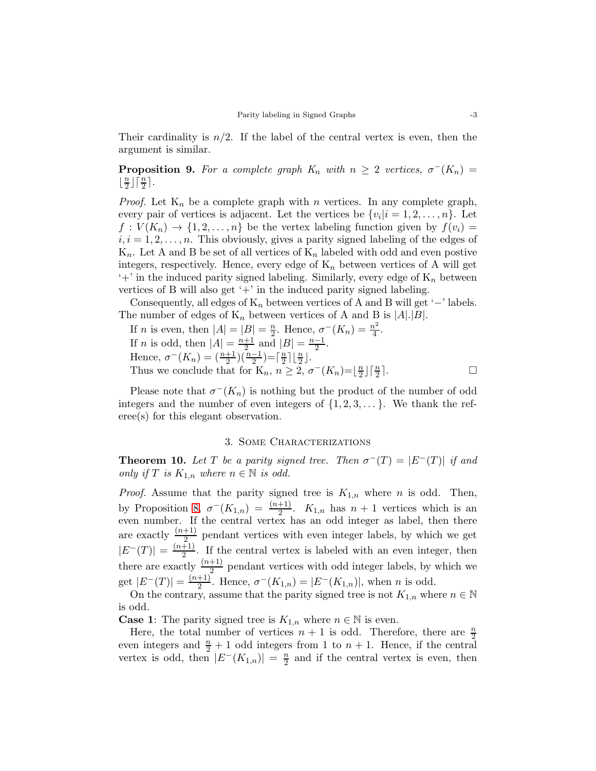Their cardinality is  $n/2$ . If the label of the central vertex is even, then the argument is similar.

<span id="page-6-0"></span>**Proposition 9.** For a complete graph  $K_n$  with  $n \geq 2$  vertices,  $\sigma^{-1}(K_n) =$  $\frac{n}{2}$  $\frac{n}{2}$ ] $\lceil \frac{n}{2} \rceil$ .

*Proof.* Let  $K_n$  be a complete graph with n vertices. In any complete graph, every pair of vertices is adjacent. Let the vertices be  $\{v_i|i=1,2,\ldots,n\}$ . Let  $f: V(K_n) \to \{1, 2, \ldots, n\}$  be the vertex labeling function given by  $f(v_i) =$  $i, i = 1, 2, \ldots, n$ . This obviously, gives a parity signed labeling of the edges of  $K_n$ . Let A and B be set of all vertices of  $K_n$  labeled with odd and even postive integers, respectively. Hence, every edge of  $K_n$  between vertices of A will get  $'+'$  in the induced parity signed labeling. Similarly, every edge of  $K_n$  between vertices of B will also get  $+$  in the induced parity signed labeling.

Consequently, all edges of  $K_n$  between vertices of A and B will get '−' labels. The number of edges of  $K_n$  between vertices of A and B is  $|A|.|B|.$ 

If *n* is even, then 
$$
|A| = |B| = \frac{n}{2}
$$
. Hence,  $\sigma^{-}(K_n) = \frac{n^2}{4}$ .  
\nIf *n* is odd, then  $|A| = \frac{n+1}{2}$  and  $|B| = \frac{n-1}{2}$ .  
\nHence,  $\sigma^{-}(K_n) = (\frac{n+1}{2})(\frac{n-1}{2}) = \lceil \frac{n}{2} \rceil \lfloor \frac{n}{2} \rfloor$ .  
\nThus we conclude that for  $K_n$ ,  $n \geq 2$ ,  $\sigma^{-}(K_n) = \lfloor \frac{n}{2} \rfloor \lceil \frac{n}{2} \rceil$ .

Please note that  $\sigma^{-}(K_n)$  is nothing but the product of the number of odd integers and the number of even integers of  $\{1, 2, 3, \ldots\}$ . We thank the referee(s) for this elegant observation.

## 3. Some Characterizations

<span id="page-6-1"></span>**Theorem 10.** Let T be a parity signed tree. Then  $\sigma^{-}(T) = |E^{-}(T)|$  if and only if T is  $K_{1,n}$  where  $n \in \mathbb{N}$  is odd.

*Proof.* Assume that the parity signed tree is  $K_{1,n}$  where n is odd. Then, by Proposition [8,](#page-5-0)  $\sigma^{-}(K_{1,n}) = \frac{(n+1)}{2}$ .  $K_{1,n}$  has  $n+1$  vertices which is an even number. If the central vertex has an odd integer as label, then there are exactly  $\frac{(n+1)}{2}$  pendant vertices with even integer labels, by which we get  $|E^{-}(T)| = \frac{(n+1)}{2}$  $\frac{+1}{2}$ . If the central vertex is labeled with an even integer, then there are exactly  $\frac{(n+1)}{2}$  pendant vertices with odd integer labels, by which we get  $|E^{-}(T)| = \frac{(n+1)}{2}$  $\frac{+1}{2}$ . Hence,  $\sigma^{-}(K_{1,n}) = |E^{-}(K_{1,n})|$ , when *n* is odd.

On the contrary, assume that the parity signed tree is not  $K_{1,n}$  where  $n \in \mathbb{N}$ is odd.

**Case 1:** The parity signed tree is  $K_{1,n}$  where  $n \in \mathbb{N}$  is even.

Here, the total number of vertices  $n+1$  is odd. Therefore, there are  $\frac{n}{2}$ even integers and  $\frac{n}{2} + 1$  odd integers from 1 to  $n + 1$ . Hence, if the central vertex is odd, then  $|E^{-}(K_{1,n})| = \frac{n}{2}$  $\frac{n}{2}$  and if the central vertex is even, then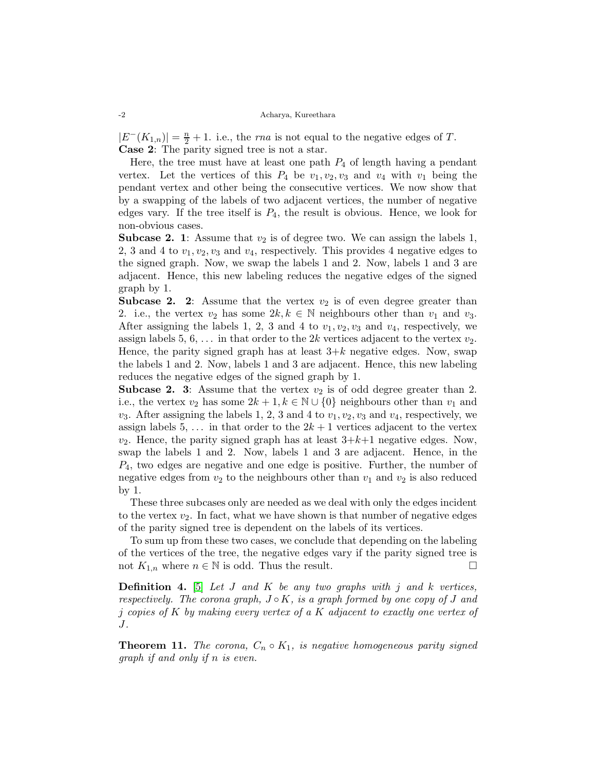#### -2 Acharya, Kureethara

 $|E^{-}(K_{1,n})| = \frac{n}{2} + 1$ . i.e., the *rna* is not equal to the negative edges of T. Case 2: The parity signed tree is not a star.

Here, the tree must have at least one path  $P_4$  of length having a pendant vertex. Let the vertices of this  $P_4$  be  $v_1, v_2, v_3$  and  $v_4$  with  $v_1$  being the pendant vertex and other being the consecutive vertices. We now show that by a swapping of the labels of two adjacent vertices, the number of negative edges vary. If the tree itself is  $P_4$ , the result is obvious. Hence, we look for non-obvious cases.

**Subcase 2. 1**: Assume that  $v_2$  is of degree two. We can assign the labels 1, 2, 3 and 4 to  $v_1, v_2, v_3$  and  $v_4$ , respectively. This provides 4 negative edges to the signed graph. Now, we swap the labels 1 and 2. Now, labels 1 and 3 are adjacent. Hence, this new labeling reduces the negative edges of the signed graph by 1.

**Subcase 2. 2:** Assume that the vertex  $v_2$  is of even degree greater than 2. i.e., the vertex  $v_2$  has some  $2k, k \in \mathbb{N}$  neighbours other than  $v_1$  and  $v_3$ . After assigning the labels 1, 2, 3 and 4 to  $v_1, v_2, v_3$  and  $v_4$ , respectively, we assign labels 5, 6,  $\dots$  in that order to the 2k vertices adjacent to the vertex  $v_2$ . Hence, the parity signed graph has at least  $3+k$  negative edges. Now, swap the labels 1 and 2. Now, labels 1 and 3 are adjacent. Hence, this new labeling reduces the negative edges of the signed graph by 1.

**Subcase 2. 3:** Assume that the vertex  $v_2$  is of odd degree greater than 2. i.e., the vertex  $v_2$  has some  $2k + 1, k \in \mathbb{N} \cup \{0\}$  neighbours other than  $v_1$  and  $v_3$ . After assigning the labels 1, 2, 3 and 4 to  $v_1, v_2, v_3$  and  $v_4$ , respectively, we assign labels 5, ... in that order to the  $2k + 1$  vertices adjacent to the vertex  $v_2$ . Hence, the parity signed graph has at least  $3+k+1$  negative edges. Now, swap the labels 1 and 2. Now, labels 1 and 3 are adjacent. Hence, in the  $P_4$ , two edges are negative and one edge is positive. Further, the number of negative edges from  $v_2$  to the neighbours other than  $v_1$  and  $v_2$  is also reduced by 1.

These three subcases only are needed as we deal with only the edges incident to the vertex  $v_2$ . In fact, what we have shown is that number of negative edges of the parity signed tree is dependent on the labels of its vertices.

To sum up from these two cases, we conclude that depending on the labeling of the vertices of the tree, the negative edges vary if the parity signed tree is not  $K_{1,n}$  where  $n \in \mathbb{N}$  is odd. Thus the result.

**Definition 4.** [\[5\]](#page-9-1) Let  $J$  and  $K$  be any two graphs with  $j$  and  $k$  vertices, respectively. The corona graph,  $J \circ K$ , is a graph formed by one copy of  $J$  and j copies of K by making every vertex of a K adjacent to exactly one vertex of J.

<span id="page-7-0"></span>**Theorem 11.** The corona,  $C_n \circ K_1$ , is negative homogeneous parity signed graph if and only if n is even.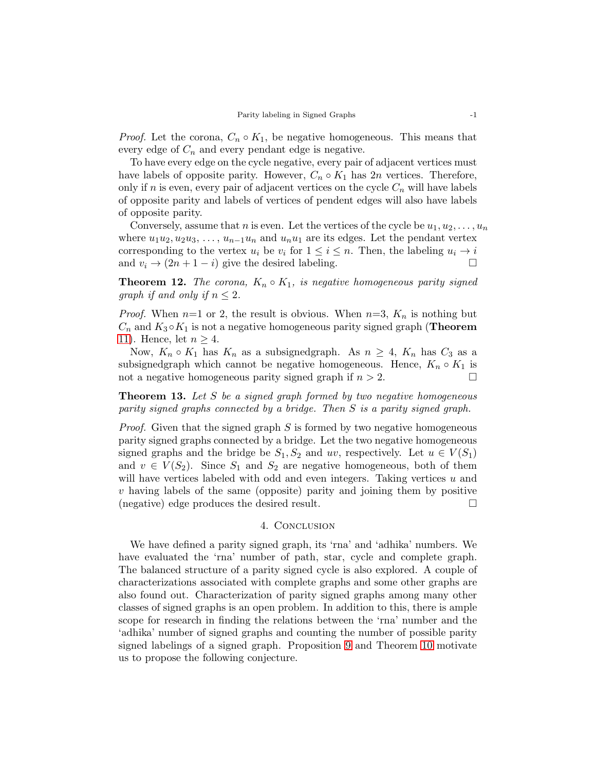*Proof.* Let the corona,  $C_n \circ K_1$ , be negative homogeneous. This means that every edge of  $C_n$  and every pendant edge is negative.

To have every edge on the cycle negative, every pair of adjacent vertices must have labels of opposite parity. However,  $C_n \circ K_1$  has  $2n$  vertices. Therefore, only if n is even, every pair of adjacent vertices on the cycle  $C_n$  will have labels of opposite parity and labels of vertices of pendent edges will also have labels of opposite parity.

Conversely, assume that n is even. Let the vertices of the cycle be  $u_1, u_2, \ldots, u_n$ where  $u_1u_2, u_2u_3, \ldots, u_{n-1}u_n$  and  $u_nu_1$  are its edges. Let the pendant vertex corresponding to the vertex  $u_i$  be  $v_i$  for  $1 \leq i \leq n$ . Then, the labeling  $u_i \to i$ and  $v_i \rightarrow (2n+1-i)$  give the desired labeling.

**Theorem 12.** The corona,  $K_n \circ K_1$ , is negative homogeneous parity signed graph if and only if  $n \leq 2$ .

*Proof.* When  $n=1$  or 2, the result is obvious. When  $n=3$ ,  $K_n$  is nothing but  $C_n$  and  $K_3 \circ K_1$  is not a negative homogeneous parity signed graph (**Theorem** [11\)](#page-7-0). Hence, let  $n \geq 4$ .

Now,  $K_n \circ K_1$  has  $K_n$  as a subsignedgraph. As  $n \geq 4$ ,  $K_n$  has  $C_3$  as a subsignedgraph which cannot be negative homogeneous. Hence,  $K_n \circ K_1$  is not a negative homogeneous parity signed graph if  $n > 2$ .

**Theorem 13.** Let  $S$  be a signed graph formed by two negative homogeneous parity signed graphs connected by a bridge. Then S is a parity signed graph.

*Proof.* Given that the signed graph  $S$  is formed by two negative homogeneous parity signed graphs connected by a bridge. Let the two negative homogeneous signed graphs and the bridge be  $S_1, S_2$  and uv, respectively. Let  $u \in V(S_1)$ and  $v \in V(S_2)$ . Since  $S_1$  and  $S_2$  are negative homogeneous, both of them will have vertices labeled with odd and even integers. Taking vertices  $u$  and  $v$  having labels of the same (opposite) parity and joining them by positive (negative) edge produces the desired result.

### 4. Conclusion

We have defined a parity signed graph, its 'rna' and 'adhika' numbers. We have evaluated the 'rna' number of path, star, cycle and complete graph. The balanced structure of a parity signed cycle is also explored. A couple of characterizations associated with complete graphs and some other graphs are also found out. Characterization of parity signed graphs among many other classes of signed graphs is an open problem. In addition to this, there is ample scope for research in finding the relations between the 'rna' number and the 'adhika' number of signed graphs and counting the number of possible parity signed labelings of a signed graph. Proposition [9](#page-6-0) and Theorem [10](#page-6-1) motivate us to propose the following conjecture.